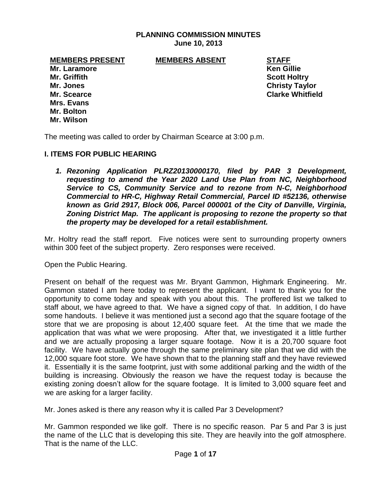# **PLANNING COMMISSION MINUTES June 10, 2013**

**MEMBERS PRESENT MEMBERS ABSENT STAFF**

**Mr. Laramore Ken Gillie Mr. Griffith Scott Holtry Mrs. Evans Mr. Bolton Mr. Wilson**

**Mr. Jones Christy Taylor Mr. Scearce Clarke Whitfield**

The meeting was called to order by Chairman Scearce at 3:00 p.m.

### **I. ITEMS FOR PUBLIC HEARING**

*1. Rezoning Application PLRZ20130000170, filed by PAR 3 Development, requesting to amend the Year 2020 Land Use Plan from NC, Neighborhood Service to CS, Community Service and to rezone from N-C, Neighborhood Commercial to HR-C, Highway Retail Commercial, Parcel ID #52136, otherwise known as Grid 2917, Block 006, Parcel 000001 of the City of Danville, Virginia, Zoning District Map. The applicant is proposing to rezone the property so that the property may be developed for a retail establishment.* 

Mr. Holtry read the staff report. Five notices were sent to surrounding property owners within 300 feet of the subject property. Zero responses were received.

Open the Public Hearing.

Present on behalf of the request was Mr. Bryant Gammon, Highmark Engineering. Mr. Gammon stated I am here today to represent the applicant. I want to thank you for the opportunity to come today and speak with you about this. The proffered list we talked to staff about, we have agreed to that. We have a signed copy of that. In addition, I do have some handouts. I believe it was mentioned just a second ago that the square footage of the store that we are proposing is about 12,400 square feet. At the time that we made the application that was what we were proposing. After that, we investigated it a little further and we are actually proposing a larger square footage. Now it is a 20,700 square foot facility. We have actually gone through the same preliminary site plan that we did with the 12,000 square foot store. We have shown that to the planning staff and they have reviewed it. Essentially it is the same footprint, just with some additional parking and the width of the building is increasing. Obviously the reason we have the request today is because the existing zoning doesn't allow for the square footage. It is limited to 3,000 square feet and we are asking for a larger facility.

Mr. Jones asked is there any reason why it is called Par 3 Development?

Mr. Gammon responded we like golf. There is no specific reason. Par 5 and Par 3 is just the name of the LLC that is developing this site. They are heavily into the golf atmosphere. That is the name of the LLC.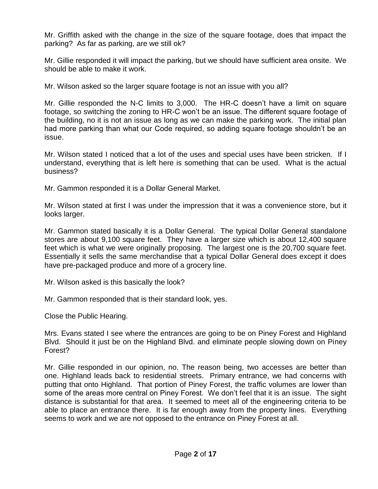Mr. Griffith asked with the change in the size of the square footage, does that impact the parking? As far as parking, are we still ok?

Mr. Gillie responded it will impact the parking, but we should have sufficient area onsite. We should be able to make it work.

Mr. Wilson asked so the larger square footage is not an issue with you all?

Mr. Gillie responded the N-C limits to 3,000. The HR-C doesn't have a limit on square footage, so switching the zoning to HR-C won't be an issue. The different square footage of the building, no it is not an issue as long as we can make the parking work. The initial plan had more parking than what our Code required, so adding square footage shouldn't be an issue.

Mr. Wilson stated I noticed that a lot of the uses and special uses have been stricken. If I understand, everything that is left here is something that can be used. What is the actual business?

Mr. Gammon responded it is a Dollar General Market.

Mr. Wilson stated at first I was under the impression that it was a convenience store, but it looks larger.

Mr. Gammon stated basically it is a Dollar General. The typical Dollar General standalone stores are about 9,100 square feet. They have a larger size which is about 12,400 square feet which is what we were originally proposing. The largest one is the 20,700 square feet. Essentially it sells the same merchandise that a typical Dollar General does except it does have pre-packaged produce and more of a grocery line.

Mr. Wilson asked is this basically the look?

Mr. Gammon responded that is their standard look, yes.

Close the Public Hearing.

Mrs. Evans stated I see where the entrances are going to be on Piney Forest and Highland Blvd. Should it just be on the Highland Blvd. and eliminate people slowing down on Piney Forest?

Mr. Gillie responded in our opinion, no. The reason being, two accesses are better than one. Highland leads back to residential streets. Primary entrance, we had concerns with putting that onto Highland. That portion of Piney Forest, the traffic volumes are lower than some of the areas more central on Piney Forest. We don't feel that it is an issue. The sight distance is substantial for that area. It seemed to meet all of the engineering criteria to be able to place an entrance there. It is far enough away from the property lines. Everything seems to work and we are not opposed to the entrance on Piney Forest at all.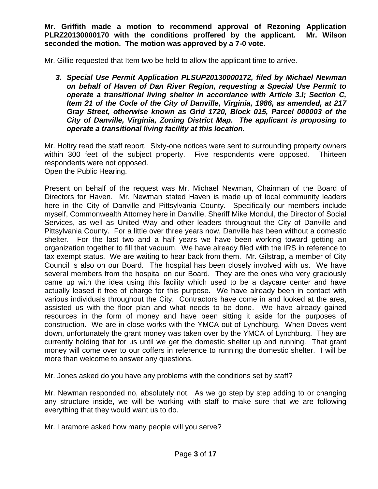**Mr. Griffith made a motion to recommend approval of Rezoning Application PLRZ20130000170 with the conditions proffered by the applicant. Mr. Wilson seconded the motion. The motion was approved by a 7-0 vote.**

Mr. Gillie requested that Item two be held to allow the applicant time to arrive.

*3. Special Use Permit Application PLSUP20130000172, filed by Michael Newman on behalf of Haven of Dan River Region, requesting a Special Use Permit to operate a transitional living shelter in accordance with Article 3.I; Section C, Item 21 of the Code of the City of Danville, Virginia, 1986, as amended, at 217 Gray Street, otherwise known as Grid 1720, Block 015, Parcel 000003 of the City of Danville, Virginia, Zoning District Map. The applicant is proposing to operate a transitional living facility at this location.* 

Mr. Holtry read the staff report. Sixty-one notices were sent to surrounding property owners within 300 feet of the subject property. Five respondents were opposed. Thirteen respondents were not opposed.

Open the Public Hearing.

Present on behalf of the request was Mr. Michael Newman, Chairman of the Board of Directors for Haven. Mr. Newman stated Haven is made up of local community leaders here in the City of Danville and Pittsylvania County. Specifically our members include myself, Commonwealth Attorney here in Danville, Sheriff Mike Mondul, the Director of Social Services, as well as United Way and other leaders throughout the City of Danville and Pittsylvania County. For a little over three years now, Danville has been without a domestic shelter. For the last two and a half years we have been working toward getting an organization together to fill that vacuum. We have already filed with the IRS in reference to tax exempt status. We are waiting to hear back from them. Mr. Gilstrap, a member of City Council is also on our Board. The hospital has been closely involved with us. We have several members from the hospital on our Board. They are the ones who very graciously came up with the idea using this facility which used to be a daycare center and have actually leased it free of charge for this purpose. We have already been in contact with various individuals throughout the City. Contractors have come in and looked at the area, assisted us with the floor plan and what needs to be done. We have already gained resources in the form of money and have been sitting it aside for the purposes of construction. We are in close works with the YMCA out of Lynchburg. When Doves went down, unfortunately the grant money was taken over by the YMCA of Lynchburg. They are currently holding that for us until we get the domestic shelter up and running. That grant money will come over to our coffers in reference to running the domestic shelter. I will be more than welcome to answer any questions.

Mr. Jones asked do you have any problems with the conditions set by staff?

Mr. Newman responded no, absolutely not. As we go step by step adding to or changing any structure inside, we will be working with staff to make sure that we are following everything that they would want us to do.

Mr. Laramore asked how many people will you serve?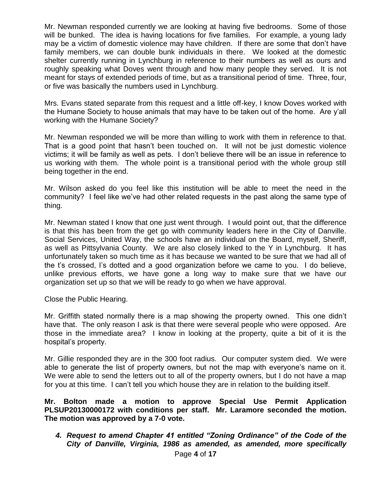Mr. Newman responded currently we are looking at having five bedrooms. Some of those will be bunked. The idea is having locations for five families. For example, a young lady may be a victim of domestic violence may have children. If there are some that don't have family members, we can double bunk individuals in there. We looked at the domestic shelter currently running in Lynchburg in reference to their numbers as well as ours and roughly speaking what Doves went through and how many people they served. It is not meant for stays of extended periods of time, but as a transitional period of time. Three, four, or five was basically the numbers used in Lynchburg.

Mrs. Evans stated separate from this request and a little off-key, I know Doves worked with the Humane Society to house animals that may have to be taken out of the home. Are y'all working with the Humane Society?

Mr. Newman responded we will be more than willing to work with them in reference to that. That is a good point that hasn't been touched on. It will not be just domestic violence victims; it will be family as well as pets. I don't believe there will be an issue in reference to us working with them. The whole point is a transitional period with the whole group still being together in the end.

Mr. Wilson asked do you feel like this institution will be able to meet the need in the community? I feel like we've had other related requests in the past along the same type of thing.

Mr. Newman stated I know that one just went through. I would point out, that the difference is that this has been from the get go with community leaders here in the City of Danville. Social Services, United Way, the schools have an individual on the Board, myself, Sheriff, as well as Pittsylvania County. We are also closely linked to the Y in Lynchburg. It has unfortunately taken so much time as it has because we wanted to be sure that we had all of the t's crossed, I's dotted and a good organization before we came to you. I do believe, unlike previous efforts, we have gone a long way to make sure that we have our organization set up so that we will be ready to go when we have approval.

Close the Public Hearing.

Mr. Griffith stated normally there is a map showing the property owned. This one didn't have that. The only reason I ask is that there were several people who were opposed. Are those in the immediate area? I know in looking at the property, quite a bit of it is the hospital's property.

Mr. Gillie responded they are in the 300 foot radius. Our computer system died. We were able to generate the list of property owners, but not the map with everyone's name on it. We were able to send the letters out to all of the property owners, but I do not have a map for you at this time. I can't tell you which house they are in relation to the building itself.

**Mr. Bolton made a motion to approve Special Use Permit Application PLSUP20130000172 with conditions per staff. Mr. Laramore seconded the motion. The motion was approved by a 7-0 vote.**

*4. Request to amend Chapter 41 entitled "Zoning Ordinance" of the Code of the City of Danville, Virginia, 1986 as amended, as amended, more specifically*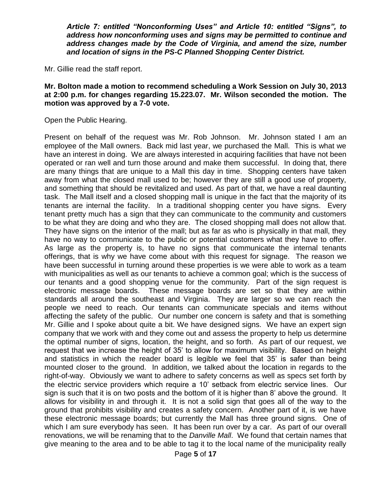*Article 7: entitled "Nonconforming Uses" and Article 10: entitled "Signs", to address how nonconforming uses and signs may be permitted to continue and address changes made by the Code of Virginia, and amend the size, number and location of signs in the PS-C Planned Shopping Center District.*

Mr. Gillie read the staff report.

### **Mr. Bolton made a motion to recommend scheduling a Work Session on July 30, 2013 at 2:00 p.m. for changes regarding 15.223.07. Mr. Wilson seconded the motion. The motion was approved by a 7-0 vote.**

Open the Public Hearing.

Present on behalf of the request was Mr. Rob Johnson. Mr. Johnson stated I am an employee of the Mall owners. Back mid last year, we purchased the Mall. This is what we have an interest in doing. We are always interested in acquiring facilities that have not been operated or ran well and turn those around and make them successful. In doing that, there are many things that are unique to a Mall this day in time. Shopping centers have taken away from what the closed mall used to be; however they are still a good use of property, and something that should be revitalized and used. As part of that, we have a real daunting task. The Mall itself and a closed shopping mall is unique in the fact that the majority of its tenants are internal the facility. In a traditional shopping center you have signs. Every tenant pretty much has a sign that they can communicate to the community and customers to be what they are doing and who they are. The closed shopping mall does not allow that. They have signs on the interior of the mall; but as far as who is physically in that mall, they have no way to communicate to the public or potential customers what they have to offer. As large as the property is, to have no signs that communicate the internal tenants offerings, that is why we have come about with this request for signage. The reason we have been successful in turning around these properties is we were able to work as a team with municipalities as well as our tenants to achieve a common goal; which is the success of our tenants and a good shopping venue for the community. Part of the sign request is electronic message boards. These message boards are set so that they are within standards all around the southeast and Virginia. They are larger so we can reach the people we need to reach. Our tenants can communicate specials and items without affecting the safety of the public. Our number one concern is safety and that is something Mr. Gillie and I spoke about quite a bit. We have designed signs. We have an expert sign company that we work with and they come out and assess the property to help us determine the optimal number of signs, location, the height, and so forth. As part of our request, we request that we increase the height of 35' to allow for maximum visibility. Based on height and statistics in which the reader board is legible we feel that 35' is safer than being mounted closer to the ground. In addition, we talked about the location in regards to the right-of-way. Obviously we want to adhere to safety concerns as well as specs set forth by the electric service providers which require a 10' setback from electric service lines. Our sign is such that it is on two posts and the bottom of it is higher than 8' above the ground. It allows for visibility in and through it. It is not a solid sign that goes all of the way to the ground that prohibits visibility and creates a safety concern. Another part of it, is we have these electronic message boards; but currently the Mall has three ground signs. One of which I am sure everybody has seen. It has been run over by a car. As part of our overall renovations, we will be renaming that to the *Danville Mall*. We found that certain names that give meaning to the area and to be able to tag it to the local name of the municipality really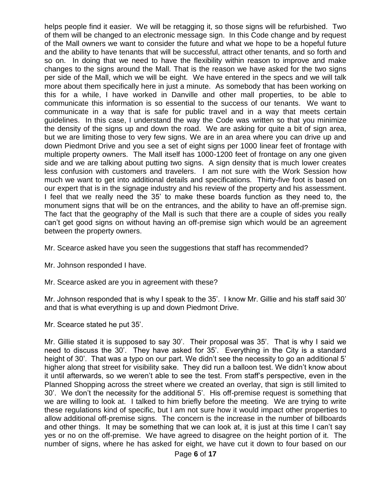helps people find it easier. We will be retagging it, so those signs will be refurbished. Two of them will be changed to an electronic message sign. In this Code change and by request of the Mall owners we want to consider the future and what we hope to be a hopeful future and the ability to have tenants that will be successful, attract other tenants, and so forth and so on. In doing that we need to have the flexibility within reason to improve and make changes to the signs around the Mall. That is the reason we have asked for the two signs per side of the Mall, which we will be eight. We have entered in the specs and we will talk more about them specifically here in just a minute. As somebody that has been working on this for a while, I have worked in Danville and other mall properties, to be able to communicate this information is so essential to the success of our tenants. We want to communicate in a way that is safe for public travel and in a way that meets certain guidelines. In this case, I understand the way the Code was written so that you minimize the density of the signs up and down the road. We are asking for quite a bit of sign area, but we are limiting those to very few signs. We are in an area where you can drive up and down Piedmont Drive and you see a set of eight signs per 1000 linear feet of frontage with multiple property owners. The Mall itself has 1000-1200 feet of frontage on any one given side and we are talking about putting two signs. A sign density that is much lower creates less confusion with customers and travelers. I am not sure with the Work Session how much we want to get into additional details and specifications. Thirty-five foot is based on our expert that is in the signage industry and his review of the property and his assessment. I feel that we really need the 35' to make these boards function as they need to, the monument signs that will be on the entrances, and the ability to have an off-premise sign. The fact that the geography of the Mall is such that there are a couple of sides you really can't get good signs on without having an off-premise sign which would be an agreement between the property owners.

Mr. Scearce asked have you seen the suggestions that staff has recommended?

Mr. Johnson responded I have.

Mr. Scearce asked are you in agreement with these?

Mr. Johnson responded that is why I speak to the 35'. I know Mr. Gillie and his staff said 30' and that is what everything is up and down Piedmont Drive.

Mr. Scearce stated he put 35'.

Mr. Gillie stated it is supposed to say 30'. Their proposal was 35'. That is why I said we need to discuss the 30'. They have asked for 35'. Everything in the City is a standard height of 30'. That was a typo on our part. We didn't see the necessity to go an additional 5' higher along that street for visibility sake. They did run a balloon test. We didn't know about it until afterwards, so we weren't able to see the test. From staff's perspective, even in the Planned Shopping across the street where we created an overlay, that sign is still limited to 30'. We don't the necessity for the additional 5'. His off-premise request is something that we are willing to look at. I talked to him briefly before the meeting. We are trying to write these regulations kind of specific, but I am not sure how it would impact other properties to allow additional off-premise signs. The concern is the increase in the number of billboards and other things. It may be something that we can look at, it is just at this time I can't say yes or no on the off-premise. We have agreed to disagree on the height portion of it. The number of signs, where he has asked for eight, we have cut it down to four based on our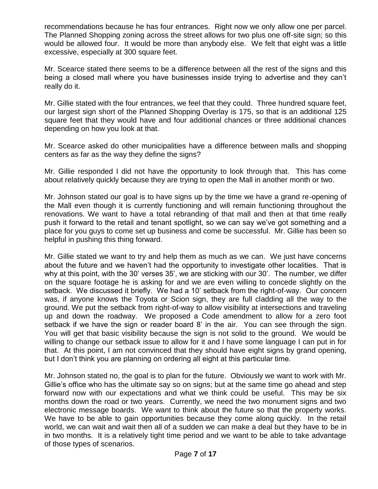recommendations because he has four entrances. Right now we only allow one per parcel. The Planned Shopping zoning across the street allows for two plus one off-site sign; so this would be allowed four. It would be more than anybody else. We felt that eight was a little excessive, especially at 300 square feet.

Mr. Scearce stated there seems to be a difference between all the rest of the signs and this being a closed mall where you have businesses inside trying to advertise and they can't really do it.

Mr. Gillie stated with the four entrances, we feel that they could. Three hundred square feet, our largest sign short of the Planned Shopping Overlay is 175, so that is an additional 125 square feet that they would have and four additional chances or three additional chances depending on how you look at that.

Mr. Scearce asked do other municipalities have a difference between malls and shopping centers as far as the way they define the signs?

Mr. Gillie responded I did not have the opportunity to look through that. This has come about relatively quickly because they are trying to open the Mall in another month or two.

Mr. Johnson stated our goal is to have signs up by the time we have a grand re-opening of the Mall even though it is currently functioning and will remain functioning throughout the renovations. We want to have a total rebranding of that mall and then at that time really push it forward to the retail and tenant spotlight, so we can say we've got something and a place for you guys to come set up business and come be successful. Mr. Gillie has been so helpful in pushing this thing forward.

Mr. Gillie stated we want to try and help them as much as we can. We just have concerns about the future and we haven't had the opportunity to investigate other localities. That is why at this point, with the 30' verses 35', we are sticking with our 30'. The number, we differ on the square footage he is asking for and we are even willing to concede slightly on the setback. We discussed it briefly. We had a 10' setback from the right-of-way. Our concern was, if anyone knows the Toyota or Scion sign, they are full cladding all the way to the ground. We put the setback from right-of-way to allow visibility at intersections and traveling up and down the roadway. We proposed a Code amendment to allow for a zero foot setback if we have the sign or reader board 8' in the air. You can see through the sign. You will get that basic visibility because the sign is not solid to the ground. We would be willing to change our setback issue to allow for it and I have some language I can put in for that. At this point, I am not convinced that they should have eight signs by grand opening, but I don't think you are planning on ordering all eight at this particular time.

Mr. Johnson stated no, the goal is to plan for the future. Obviously we want to work with Mr. Gillie's office who has the ultimate say so on signs; but at the same time go ahead and step forward now with our expectations and what we think could be useful. This may be six months down the road or two years. Currently, we need the two monument signs and two electronic message boards. We want to think about the future so that the property works. We have to be able to gain opportunities because they come along quickly. In the retail world, we can wait and wait then all of a sudden we can make a deal but they have to be in in two months. It is a relatively tight time period and we want to be able to take advantage of those types of scenarios.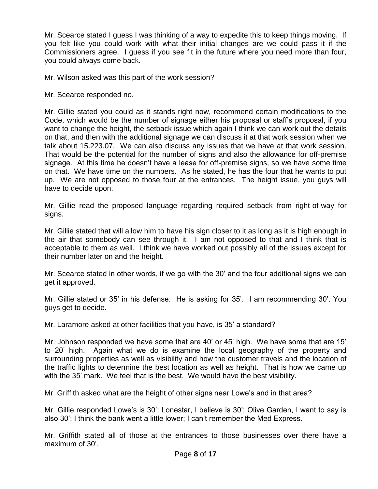Mr. Scearce stated I guess I was thinking of a way to expedite this to keep things moving. If you felt like you could work with what their initial changes are we could pass it if the Commissioners agree. I guess if you see fit in the future where you need more than four, you could always come back.

Mr. Wilson asked was this part of the work session?

Mr. Scearce responded no.

Mr. Gillie stated you could as it stands right now, recommend certain modifications to the Code, which would be the number of signage either his proposal or staff's proposal, if you want to change the height, the setback issue which again I think we can work out the details on that, and then with the additional signage we can discuss it at that work session when we talk about 15.223.07. We can also discuss any issues that we have at that work session. That would be the potential for the number of signs and also the allowance for off-premise signage. At this time he doesn't have a lease for off-premise signs, so we have some time on that. We have time on the numbers. As he stated, he has the four that he wants to put up. We are not opposed to those four at the entrances. The height issue, you guys will have to decide upon.

Mr. Gillie read the proposed language regarding required setback from right-of-way for signs.

Mr. Gillie stated that will allow him to have his sign closer to it as long as it is high enough in the air that somebody can see through it. I am not opposed to that and I think that is acceptable to them as well. I think we have worked out possibly all of the issues except for their number later on and the height.

Mr. Scearce stated in other words, if we go with the 30' and the four additional signs we can get it approved.

Mr. Gillie stated or 35' in his defense. He is asking for 35'. I am recommending 30'. You guys get to decide.

Mr. Laramore asked at other facilities that you have, is 35' a standard?

Mr. Johnson responded we have some that are 40' or 45' high. We have some that are 15' to 20' high. Again what we do is examine the local geography of the property and surrounding properties as well as visibility and how the customer travels and the location of the traffic lights to determine the best location as well as height. That is how we came up with the 35' mark. We feel that is the best. We would have the best visibility.

Mr. Griffith asked what are the height of other signs near Lowe's and in that area?

Mr. Gillie responded Lowe's is 30'; Lonestar, I believe is 30'; Olive Garden, I want to say is also 30'; I think the bank went a little lower; I can't remember the Med Express.

Mr. Griffith stated all of those at the entrances to those businesses over there have a maximum of 30'.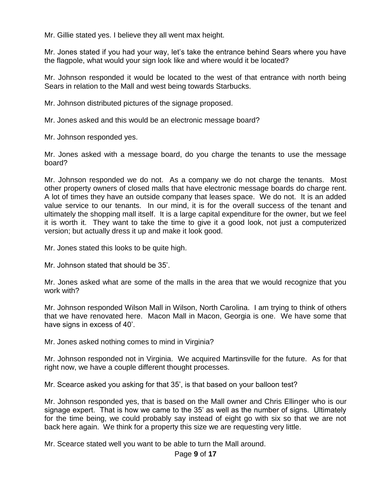Mr. Gillie stated yes. I believe they all went max height.

Mr. Jones stated if you had your way, let's take the entrance behind Sears where you have the flagpole, what would your sign look like and where would it be located?

Mr. Johnson responded it would be located to the west of that entrance with north being Sears in relation to the Mall and west being towards Starbucks.

Mr. Johnson distributed pictures of the signage proposed.

Mr. Jones asked and this would be an electronic message board?

Mr. Johnson responded yes.

Mr. Jones asked with a message board, do you charge the tenants to use the message board?

Mr. Johnson responded we do not. As a company we do not charge the tenants. Most other property owners of closed malls that have electronic message boards do charge rent. A lot of times they have an outside company that leases space. We do not. It is an added value service to our tenants. In our mind, it is for the overall success of the tenant and ultimately the shopping mall itself. It is a large capital expenditure for the owner, but we feel it is worth it. They want to take the time to give it a good look, not just a computerized version; but actually dress it up and make it look good.

Mr. Jones stated this looks to be quite high.

Mr. Johnson stated that should be 35'.

Mr. Jones asked what are some of the malls in the area that we would recognize that you work with?

Mr. Johnson responded Wilson Mall in Wilson, North Carolina. I am trying to think of others that we have renovated here. Macon Mall in Macon, Georgia is one. We have some that have signs in excess of 40'.

Mr. Jones asked nothing comes to mind in Virginia?

Mr. Johnson responded not in Virginia. We acquired Martinsville for the future. As for that right now, we have a couple different thought processes.

Mr. Scearce asked you asking for that 35', is that based on your balloon test?

Mr. Johnson responded yes, that is based on the Mall owner and Chris Ellinger who is our signage expert. That is how we came to the 35' as well as the number of signs. Ultimately for the time being, we could probably say instead of eight go with six so that we are not back here again. We think for a property this size we are requesting very little.

Mr. Scearce stated well you want to be able to turn the Mall around.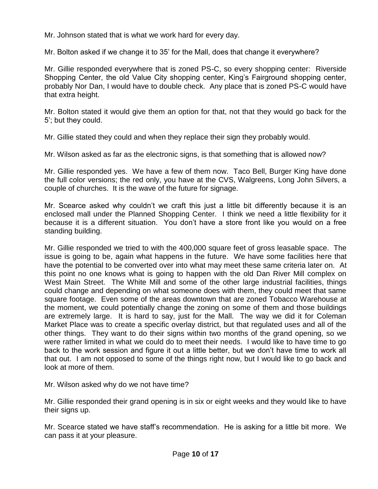Mr. Johnson stated that is what we work hard for every day.

Mr. Bolton asked if we change it to 35' for the Mall, does that change it everywhere?

Mr. Gillie responded everywhere that is zoned PS-C, so every shopping center: Riverside Shopping Center, the old Value City shopping center, King's Fairground shopping center, probably Nor Dan, I would have to double check. Any place that is zoned PS-C would have that extra height.

Mr. Bolton stated it would give them an option for that, not that they would go back for the 5'; but they could.

Mr. Gillie stated they could and when they replace their sign they probably would.

Mr. Wilson asked as far as the electronic signs, is that something that is allowed now?

Mr. Gillie responded yes. We have a few of them now. Taco Bell, Burger King have done the full color versions; the red only, you have at the CVS, Walgreens, Long John Silvers, a couple of churches. It is the wave of the future for signage.

Mr. Scearce asked why couldn't we craft this just a little bit differently because it is an enclosed mall under the Planned Shopping Center. I think we need a little flexibility for it because it is a different situation. You don't have a store front like you would on a free standing building.

Mr. Gillie responded we tried to with the 400,000 square feet of gross leasable space. The issue is going to be, again what happens in the future. We have some facilities here that have the potential to be converted over into what may meet these same criteria later on. At this point no one knows what is going to happen with the old Dan River Mill complex on West Main Street. The White Mill and some of the other large industrial facilities, things could change and depending on what someone does with them, they could meet that same square footage. Even some of the areas downtown that are zoned Tobacco Warehouse at the moment, we could potentially change the zoning on some of them and those buildings are extremely large. It is hard to say, just for the Mall. The way we did it for Coleman Market Place was to create a specific overlay district, but that regulated uses and all of the other things. They want to do their signs within two months of the grand opening, so we were rather limited in what we could do to meet their needs. I would like to have time to go back to the work session and figure it out a little better, but we don't have time to work all that out. I am not opposed to some of the things right now, but I would like to go back and look at more of them.

Mr. Wilson asked why do we not have time?

Mr. Gillie responded their grand opening is in six or eight weeks and they would like to have their signs up.

Mr. Scearce stated we have staff's recommendation. He is asking for a little bit more. We can pass it at your pleasure.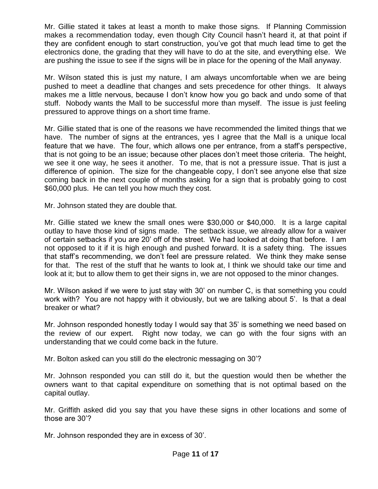Mr. Gillie stated it takes at least a month to make those signs. If Planning Commission makes a recommendation today, even though City Council hasn't heard it, at that point if they are confident enough to start construction, you've got that much lead time to get the electronics done, the grading that they will have to do at the site, and everything else. We are pushing the issue to see if the signs will be in place for the opening of the Mall anyway.

Mr. Wilson stated this is just my nature, I am always uncomfortable when we are being pushed to meet a deadline that changes and sets precedence for other things. It always makes me a little nervous, because I don't know how you go back and undo some of that stuff. Nobody wants the Mall to be successful more than myself. The issue is just feeling pressured to approve things on a short time frame.

Mr. Gillie stated that is one of the reasons we have recommended the limited things that we have. The number of signs at the entrances, yes I agree that the Mall is a unique local feature that we have. The four, which allows one per entrance, from a staff's perspective, that is not going to be an issue; because other places don't meet those criteria. The height, we see it one way, he sees it another. To me, that is not a pressure issue. That is just a difference of opinion. The size for the changeable copy, I don't see anyone else that size coming back in the next couple of months asking for a sign that is probably going to cost \$60,000 plus. He can tell you how much they cost.

Mr. Johnson stated they are double that.

Mr. Gillie stated we knew the small ones were \$30,000 or \$40,000. It is a large capital outlay to have those kind of signs made. The setback issue, we already allow for a waiver of certain setbacks if you are 20' off of the street. We had looked at doing that before. I am not opposed to it if it is high enough and pushed forward. It is a safety thing. The issues that staff's recommending, we don't feel are pressure related. We think they make sense for that. The rest of the stuff that he wants to look at, I think we should take our time and look at it; but to allow them to get their signs in, we are not opposed to the minor changes.

Mr. Wilson asked if we were to just stay with 30' on number C, is that something you could work with? You are not happy with it obviously, but we are talking about 5'. Is that a deal breaker or what?

Mr. Johnson responded honestly today I would say that 35' is something we need based on the review of our expert. Right now today, we can go with the four signs with an understanding that we could come back in the future.

Mr. Bolton asked can you still do the electronic messaging on 30'?

Mr. Johnson responded you can still do it, but the question would then be whether the owners want to that capital expenditure on something that is not optimal based on the capital outlay.

Mr. Griffith asked did you say that you have these signs in other locations and some of those are 30'?

Mr. Johnson responded they are in excess of 30'.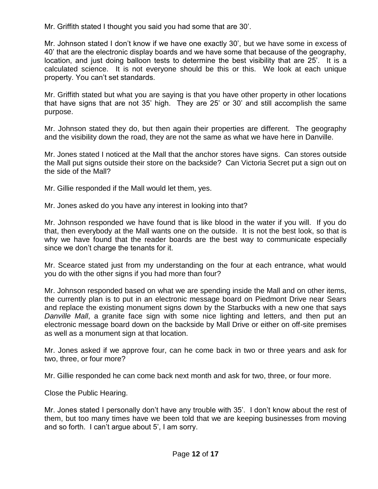Mr. Griffith stated I thought you said you had some that are 30'.

Mr. Johnson stated I don't know if we have one exactly 30', but we have some in excess of 40' that are the electronic display boards and we have some that because of the geography, location, and just doing balloon tests to determine the best visibility that are 25'. It is a calculated science. It is not everyone should be this or this. We look at each unique property. You can't set standards.

Mr. Griffith stated but what you are saying is that you have other property in other locations that have signs that are not 35' high. They are 25' or 30' and still accomplish the same purpose.

Mr. Johnson stated they do, but then again their properties are different. The geography and the visibility down the road, they are not the same as what we have here in Danville.

Mr. Jones stated I noticed at the Mall that the anchor stores have signs. Can stores outside the Mall put signs outside their store on the backside? Can Victoria Secret put a sign out on the side of the Mall?

Mr. Gillie responded if the Mall would let them, yes.

Mr. Jones asked do you have any interest in looking into that?

Mr. Johnson responded we have found that is like blood in the water if you will. If you do that, then everybody at the Mall wants one on the outside. It is not the best look, so that is why we have found that the reader boards are the best way to communicate especially since we don't charge the tenants for it.

Mr. Scearce stated just from my understanding on the four at each entrance, what would you do with the other signs if you had more than four?

Mr. Johnson responded based on what we are spending inside the Mall and on other items, the currently plan is to put in an electronic message board on Piedmont Drive near Sears and replace the existing monument signs down by the Starbucks with a new one that says *Danville Mall*, a granite face sign with some nice lighting and letters, and then put an electronic message board down on the backside by Mall Drive or either on off-site premises as well as a monument sign at that location.

Mr. Jones asked if we approve four, can he come back in two or three years and ask for two, three, or four more?

Mr. Gillie responded he can come back next month and ask for two, three, or four more.

Close the Public Hearing.

Mr. Jones stated I personally don't have any trouble with 35'. I don't know about the rest of them, but too many times have we been told that we are keeping businesses from moving and so forth. I can't argue about 5', I am sorry.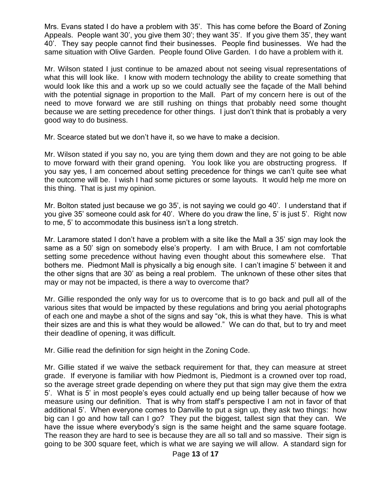Mrs. Evans stated I do have a problem with 35'. This has come before the Board of Zoning Appeals. People want 30', you give them 30'; they want 35'. If you give them 35', they want 40'. They say people cannot find their businesses. People find businesses. We had the same situation with Olive Garden. People found Olive Garden. I do have a problem with it.

Mr. Wilson stated I just continue to be amazed about not seeing visual representations of what this will look like. I know with modern technology the ability to create something that would look like this and a work up so we could actually see the façade of the Mall behind with the potential signage in proportion to the Mall. Part of my concern here is out of the need to move forward we are still rushing on things that probably need some thought because we are setting precedence for other things. I just don't think that is probably a very good way to do business.

Mr. Scearce stated but we don't have it, so we have to make a decision.

Mr. Wilson stated if you say no, you are tying them down and they are not going to be able to move forward with their grand opening. You look like you are obstructing progress. If you say yes, I am concerned about setting precedence for things we can't quite see what the outcome will be. I wish I had some pictures or some layouts. It would help me more on this thing. That is just my opinion.

Mr. Bolton stated just because we go 35', is not saying we could go 40'. I understand that if you give 35' someone could ask for 40'. Where do you draw the line, 5' is just 5'. Right now to me, 5' to accommodate this business isn't a long stretch.

Mr. Laramore stated I don't have a problem with a site like the Mall a 35' sign may look the same as a 50' sign on somebody else's property. I am with Bruce, I am not comfortable setting some precedence without having even thought about this somewhere else. That bothers me. Piedmont Mall is physically a big enough site. I can't imagine 5' between it and the other signs that are 30' as being a real problem. The unknown of these other sites that may or may not be impacted, is there a way to overcome that?

Mr. Gillie responded the only way for us to overcome that is to go back and pull all of the various sites that would be impacted by these regulations and bring you aerial photographs of each one and maybe a shot of the signs and say "ok, this is what they have. This is what their sizes are and this is what they would be allowed." We can do that, but to try and meet their deadline of opening, it was difficult.

Mr. Gillie read the definition for sign height in the Zoning Code.

Mr. Gillie stated if we waive the setback requirement for that, they can measure at street grade. If everyone is familiar with how Piedmont is, Piedmont is a crowned over top road, so the average street grade depending on where they put that sign may give them the extra 5'. What is 5' in most people's eyes could actually end up being taller because of how we measure using our definition. That is why from staff's perspective I am not in favor of that additional 5'. When everyone comes to Danville to put a sign up, they ask two things: how big can I go and how tall can I go? They put the biggest, tallest sign that they can. We have the issue where everybody's sign is the same height and the same square footage. The reason they are hard to see is because they are all so tall and so massive. Their sign is going to be 300 square feet, which is what we are saying we will allow. A standard sign for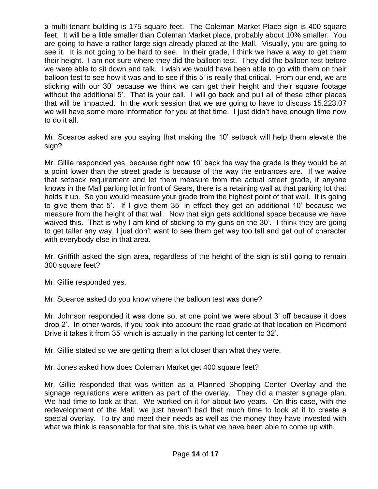a multi-tenant building is 175 square feet. The Coleman Market Place sign is 400 square feet. It will be a little smaller than Coleman Market place, probably about 10% smaller. You are going to have a rather large sign already placed at the Mall. Visually, you are going to see it. It is not going to be hard to see. In their grade, I think we have a way to get them their height. I am not sure where they did the balloon test. They did the balloon test before we were able to sit down and talk. I wish we would have been able to go with them on their balloon test to see how it was and to see if this 5' is really that critical. From our end, we are sticking with our 30' because we think we can get their height and their square footage without the additional 5'. That is your call. I will go back and pull all of these other places that will be impacted. In the work session that we are going to have to discuss 15.223.07 we will have some more information for you at that time. I just didn't have enough time now to do it all.

Mr. Scearce asked are you saying that making the 10' setback will help them elevate the sign?

Mr. Gillie responded yes, because right now 10' back the way the grade is they would be at a point lower than the street grade is because of the way the entrances are. If we waive that setback requirement and let them measure from the actual street grade, if anyone knows in the Mall parking lot in front of Sears, there is a retaining wall at that parking lot that holds it up. So you would measure your grade from the highest point of that wall. It is going to give them that 5'. If I give them 35' in effect they get an additional 10' because we measure from the height of that wall. Now that sign gets additional space because we have waived this. That is why I am kind of sticking to my guns on the 30'. I think they are going to get taller any way, I just don't want to see them get way too tall and get out of character with everybody else in that area.

Mr. Griffith asked the sign area, regardless of the height of the sign is still going to remain 300 square feet?

Mr. Gillie responded yes.

Mr. Scearce asked do you know where the balloon test was done?

Mr. Johnson responded it was done so, at one point we were about 3' off because it does drop 2'. In other words, if you took into account the road grade at that location on Piedmont Drive it takes it from 35' which is actually in the parking lot center to 32'.

Mr. Gillie stated so we are getting them a lot closer than what they were.

Mr. Jones asked how does Coleman Market get 400 square feet?

Mr. Gillie responded that was written as a Planned Shopping Center Overlay and the signage regulations were written as part of the overlay. They did a master signage plan. We had time to look at that. We worked on it for about two years. On this case, with the redevelopment of the Mall, we just haven't had that much time to look at it to create a special overlay. To try and meet their needs as well as the money they have invested with what we think is reasonable for that site, this is what we have been able to come up with.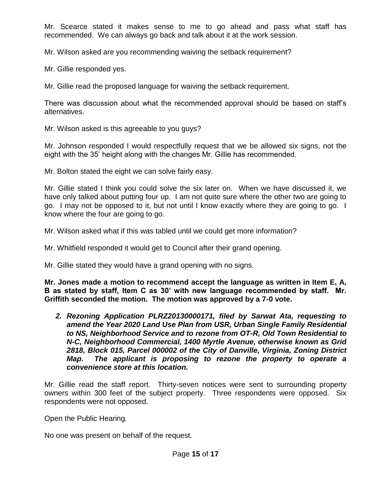Mr. Scearce stated it makes sense to me to go ahead and pass what staff has recommended. We can always go back and talk about it at the work session.

Mr. Wilson asked are you recommending waiving the setback requirement?

Mr. Gillie responded yes.

Mr. Gillie read the proposed language for waiving the setback requirement.

There was discussion about what the recommended approval should be based on staff's alternatives.

Mr. Wilson asked is this agreeable to you guys?

Mr. Johnson responded I would respectfully request that we be allowed six signs, not the eight with the 35' height along with the changes Mr. Gillie has recommended.

Mr. Bolton stated the eight we can solve fairly easy.

Mr. Gillie stated I think you could solve the six later on. When we have discussed it, we have only talked about putting four up. I am not quite sure where the other two are going to go. I may not be opposed to it, but not until I know exactly where they are going to go. I know where the four are going to go.

Mr. Wilson asked what if this was tabled until we could get more information?

Mr. Whitfield responded it would get to Council after their grand opening.

Mr. Gillie stated they would have a grand opening with no signs.

**Mr. Jones made a motion to recommend accept the language as written in Item E, A, B as stated by staff, Item C as 30' with new language recommended by staff. Mr. Griffith seconded the motion. The motion was approved by a 7-0 vote.**

*2. Rezoning Application PLRZ20130000171, filed by Sarwat Ata, requesting to amend the Year 2020 Land Use Plan from USR, Urban Single Family Residential to NS, Neighborhood Service and to rezone from OT-R, Old Town Residential to N-C, Neighborhood Commercial, 1400 Myrtle Avenue, otherwise known as Grid 2818, Block 015, Parcel 000002 of the City of Danville, Virginia, Zoning District Map. The applicant is proposing to rezone the property to operate a convenience store at this location.* 

Mr. Gillie read the staff report. Thirty-seven notices were sent to surrounding property owners within 300 feet of the subject property. Three respondents were opposed. Six respondents were not opposed.

Open the Public Hearing.

No one was present on behalf of the request.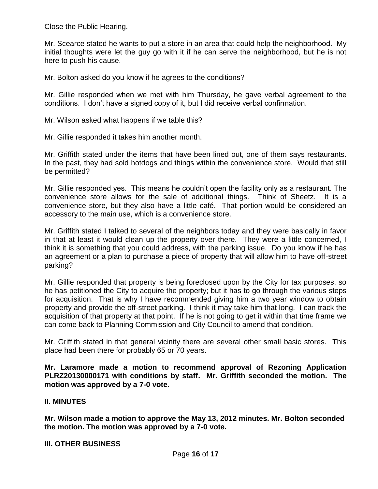Close the Public Hearing.

Mr. Scearce stated he wants to put a store in an area that could help the neighborhood. My initial thoughts were let the guy go with it if he can serve the neighborhood, but he is not here to push his cause.

Mr. Bolton asked do you know if he agrees to the conditions?

Mr. Gillie responded when we met with him Thursday, he gave verbal agreement to the conditions. I don't have a signed copy of it, but I did receive verbal confirmation.

Mr. Wilson asked what happens if we table this?

Mr. Gillie responded it takes him another month.

Mr. Griffith stated under the items that have been lined out, one of them says restaurants. In the past, they had sold hotdogs and things within the convenience store. Would that still be permitted?

Mr. Gillie responded yes. This means he couldn't open the facility only as a restaurant. The convenience store allows for the sale of additional things. Think of Sheetz. It is a convenience store, but they also have a little café. That portion would be considered an accessory to the main use, which is a convenience store.

Mr. Griffith stated I talked to several of the neighbors today and they were basically in favor in that at least it would clean up the property over there. They were a little concerned, I think it is something that you could address, with the parking issue. Do you know if he has an agreement or a plan to purchase a piece of property that will allow him to have off-street parking?

Mr. Gillie responded that property is being foreclosed upon by the City for tax purposes, so he has petitioned the City to acquire the property; but it has to go through the various steps for acquisition. That is why I have recommended giving him a two year window to obtain property and provide the off-street parking. I think it may take him that long. I can track the acquisition of that property at that point. If he is not going to get it within that time frame we can come back to Planning Commission and City Council to amend that condition.

Mr. Griffith stated in that general vicinity there are several other small basic stores. This place had been there for probably 65 or 70 years.

**Mr. Laramore made a motion to recommend approval of Rezoning Application PLRZ20130000171 with conditions by staff. Mr. Griffith seconded the motion. The motion was approved by a 7-0 vote.** 

# **II. MINUTES**

**Mr. Wilson made a motion to approve the May 13, 2012 minutes. Mr. Bolton seconded the motion. The motion was approved by a 7-0 vote.**

# **III. OTHER BUSINESS**